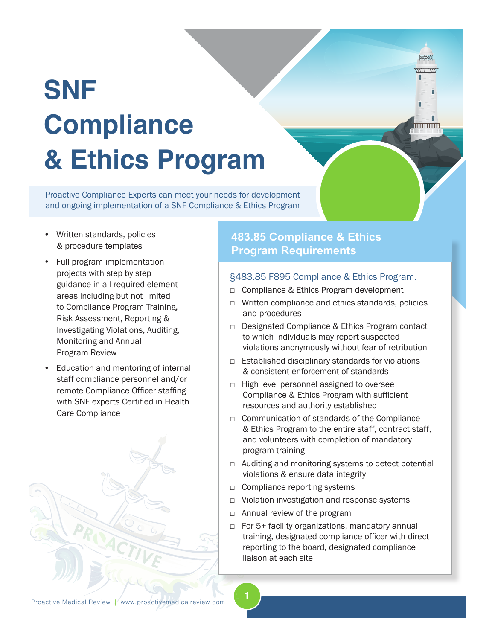# **SNF Compliance & Ethics Program**

Proactive Compliance Experts can meet your needs for development and ongoing implementation of a SNF Compliance & Ethics Program

- Written standards, policies & procedure templates
- Full program implementation projects with step by step guidance in all required element areas including but not limited to Compliance Program Training, Risk Assessment, Reporting & Investigating Violations, Auditing, Monitoring and Annual Program Review
- Education and mentoring of internal staff compliance personnel and/or remote Compliance Officer staffing with SNF experts Certified in Health Care Compliance

## **483.85 Compliance & Ethics Program Requirements**

#### §483.85 F895 Compliance & Ethics Program.

mmm.

- □ Compliance & Ethics Program development
- □ Written compliance and ethics standards, policies and procedures
- □ Designated Compliance & Ethics Program contact to which individuals may report suspected violations anonymously without fear of retribution
- □ Established disciplinary standards for violations & consistent enforcement of standards
- □ High level personnel assigned to oversee Compliance & Ethics Program with sufficient resources and authority established
- □ Communication of standards of the Compliance & Ethics Program to the entire staff, contract staff, and volunteers with completion of mandatory program training
- $\Box$  Auditing and monitoring systems to detect potential violations & ensure data integrity
- □ Compliance reporting systems
- □ Violation investigation and response systems
- □ Annual review of the program

**1**

□ For 5+ facility organizations, mandatory annual training, designated compliance officer with direct reporting to the board, designated compliance liaison at each site

Proactive Medical Review / www.proactivemedicalreview.com